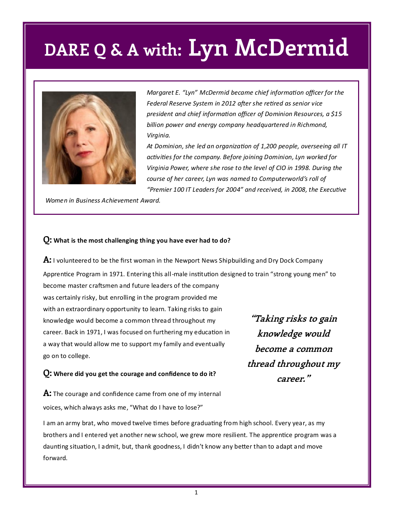## **DARE Q & A with: Lyn McDermid**



*Margaret E. "Lyn" McDermid became chief information officer for the Federal Reserve System in 2012 after she retired as senior vice president and chief information officer of Dominion Resources, a \$15 billion power and energy company headquartered in Richmond, Virginia.* 

*At Dominion, she led an organization of 1,200 people, overseeing all IT activities for the company. Before joining Dominion, Lyn worked for Virginia Power, where she rose to the level of CIO in 1998. During the course of her career, Lyn was named to Computerworld's roll of "Premier 100 IT Leaders for 2004" and received, in 2008, the Executive* 

*Women in Business Achievement Award.* 

#### **Q: What is the most challenging thing you have ever had to do?**

**A:** I volunteered to be the first woman in the Newport News Shipbuilding and Dry Dock Company Apprentice Program in 1971. Entering this all-male institution designed to train "strong young men" to

become master craftsmen and future leaders of the company was certainly risky, but enrolling in the program provided me with an extraordinary opportunity to learn. Taking risks to gain knowledge would become a common thread throughout my career. Back in 1971, I was focused on furthering my education in a way that would allow me to support my family and eventually go on to college.

**Q: Where did you get the courage and confidence to do it?** 

**A:** The courage and confidence came from one of my internal voices, which always asks me, "What do I have to lose?"

I am an army brat, who moved twelve times before graduating from high school. Every year, as my brothers and I entered yet another new school, we grew more resilient. The apprentice program was a daunting situation, I admit, but, thank goodness, I didn't know any better than to adapt and move forward.

**"Taking risks to gain knowledge would become a common thread throughout my career."**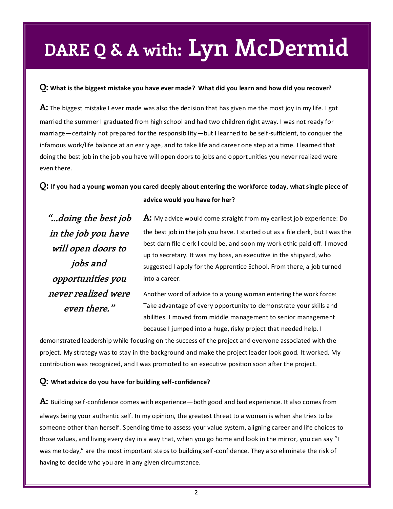# **DARE Q & A with: Lyn McDermid**

### **Q: What is the biggest mistake you have ever made? What did you learn and how did you recover?**

**A:** The biggest mistake I ever made was also the decision that has given me the most joy in my life. I got married the summer I graduated from high school and had two children right away. I was not ready for marriage—certainly not prepared for the responsibility—but I learned to be self-sufficient, to conquer the infamous work/life balance at an early age, and to take life and career one step at a time. I learned that doing the best job in the job you have will open doors to jobs and opportunities you never realized were even there.

## **Q: If you had a young woman you cared deeply about entering the workforce today, what single piece of advice would you have for her?**

**"...doing the best job in the job you have will open doors to jobs and opportunities you never realized were even there."**

**A:** My advice would come straight from my earliest job experience: Do the best job in the job you have. I started out as a file clerk, but I was the best darn file clerk I could be, and soon my work ethic paid off. I moved up to secretary. It was my boss, an executive in the shipyard, who suggested I apply for the Apprentice School. From there, a job turned into a career.

Another word of advice to a young woman entering the work force: Take advantage of every opportunity to demonstrate your skills and abilities. I moved from middle management to senior management because I jumped into a huge, risky project that needed help. I

demonstrated leadership while focusing on the success of the project and everyone associated with the project. My strategy was to stay in the background and make the project leader look good. It worked. My contribution was recognized, and I was promoted to an executive position soon after the project.

### **Q: What advice do you have for building self-confidence?**

**A:** Building self-confidence comes with experience—both good and bad experience. It also comes from always being your authentic self. In my opinion, the greatest threat to a woman is when she tries to be someone other than herself. Spending time to assess your value system, aligning career and life choices to those values, and living every day in a way that, when you go home and look in the mirror, you can say "I was me today," are the most important steps to building self-confidence. They also eliminate the risk of having to decide who you are in any given circumstance.